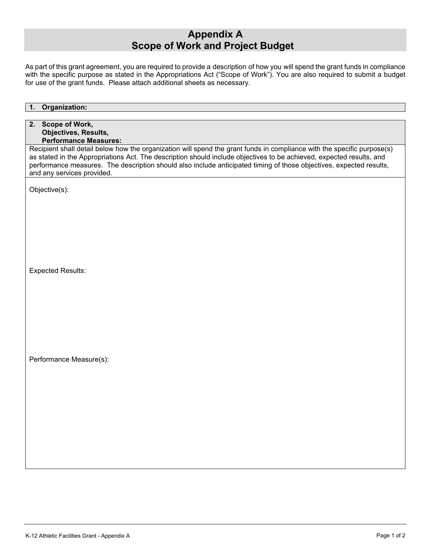## **Appendix A Scope of Work and Project Budget**

As part of this grant agreement, you are required to provide a description of how you will spend the grant funds in compliance with the specific purpose as stated in the Appropriations Act ("Scope of Work"). You are also required to submit a budget for use of the grant funds. Please attach additional sheets as necessary.

| Organization:<br>1.                                                                                                                                                                                                                                                                                                                                                                                  |  |  |
|------------------------------------------------------------------------------------------------------------------------------------------------------------------------------------------------------------------------------------------------------------------------------------------------------------------------------------------------------------------------------------------------------|--|--|
| 2. Scope of Work,<br><b>Objectives, Results,</b><br><b>Performance Measures:</b>                                                                                                                                                                                                                                                                                                                     |  |  |
| Recipient shall detail below how the organization will spend the grant funds in compliance with the specific purpose(s)<br>as stated in the Appropriations Act. The description should include objectives to be achieved, expected results, and<br>performance measures. The description should also include anticipated timing of those objectives, expected results,<br>and any services provided. |  |  |
| Objective(s):                                                                                                                                                                                                                                                                                                                                                                                        |  |  |
|                                                                                                                                                                                                                                                                                                                                                                                                      |  |  |
|                                                                                                                                                                                                                                                                                                                                                                                                      |  |  |
| <b>Expected Results:</b>                                                                                                                                                                                                                                                                                                                                                                             |  |  |
|                                                                                                                                                                                                                                                                                                                                                                                                      |  |  |
|                                                                                                                                                                                                                                                                                                                                                                                                      |  |  |
| Performance Measure(s):                                                                                                                                                                                                                                                                                                                                                                              |  |  |
|                                                                                                                                                                                                                                                                                                                                                                                                      |  |  |
|                                                                                                                                                                                                                                                                                                                                                                                                      |  |  |
|                                                                                                                                                                                                                                                                                                                                                                                                      |  |  |
|                                                                                                                                                                                                                                                                                                                                                                                                      |  |  |